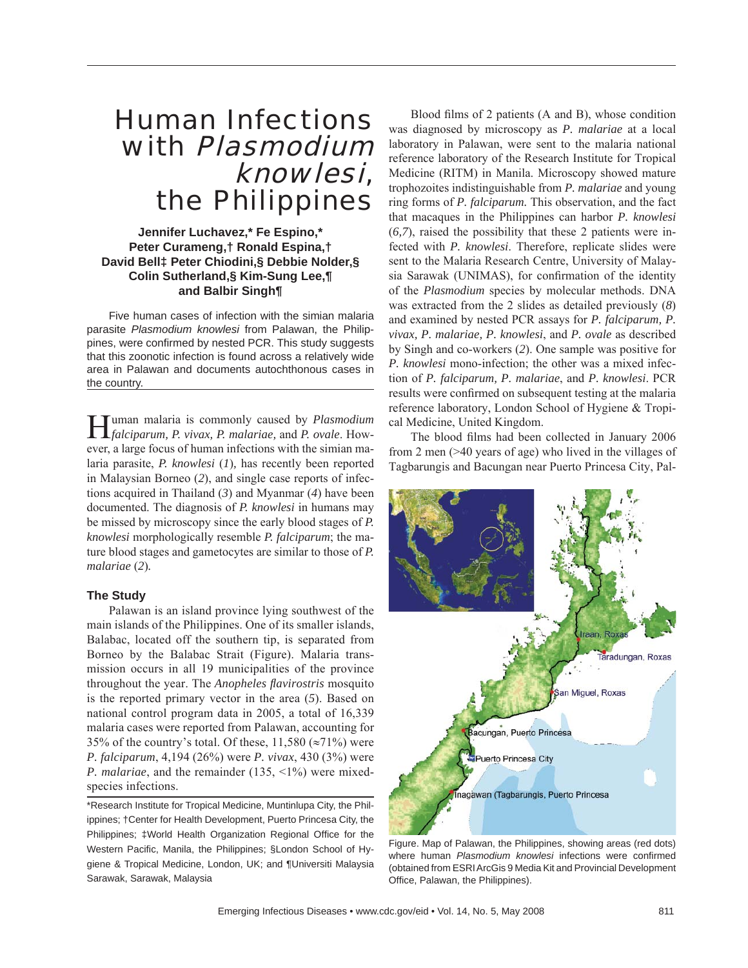# Human Infections with Plasmodium knowlesi, the Philippines

# **Jennifer Luchavez,\* Fe Espino,\* Peter Curameng,† Ronald Espina,† David Bell‡ Peter Chiodini,§ Debbie Nolder,§ Colin Sutherland,§ Kim-Sung Lee,¶ and Balbir Singh¶**

Five human cases of infection with the simian malaria parasite *Plasmodium knowlesi* from Palawan, the Philippines, were confirmed by nested PCR. This study suggests that this zoonotic infection is found across a relatively wide area in Palawan and documents autochthonous cases in the country.

Human malaria is commonly caused by *Plasmodium falciparum, P. vivax, P. malariae,* and *P. ovale*. However, a large focus of human infections with the simian malaria parasite, *P. knowlesi* (*1*)*,* has recently been reported in Malaysian Borneo (*2*), and single case reports of infections acquired in Thailand (*3*) and Myanmar (*4*) have been documented. The diagnosis of *P. knowlesi* in humans may be missed by microscopy since the early blood stages of *P. knowlesi* morphologically resemble *P. falciparum*; the mature blood stages and gametocytes are similar to those of *P. malariae* (*2*)*.*

## **The Study**

Palawan is an island province lying southwest of the main islands of the Philippines. One of its smaller islands, Balabac, located off the southern tip, is separated from Borneo by the Balabac Strait (Figure). Malaria transmission occurs in all 19 municipalities of the province throughout the year. The *Anopheles fl avirostris* mosquito is the reported primary vector in the area (*5*). Based on national control program data in 2005, a total of 16,339 malaria cases were reported from Palawan, accounting for 35% of the country's total. Of these, 11,580 ( $\approx$ 71%) were *P. falciparum*, 4,194 (26%) were *P. vivax*, 430 (3%) were *P. malariae*, and the remainder (135, <1%) were mixedspecies infections.

\*Research Institute for Tropical Medicine, Muntinlupa City, the Philippines; †Center for Health Development, Puerto Princesa City, the Philippines; ‡World Health Organization Regional Office for the Western Pacific, Manila, the Philippines; §London School of Hygiene & Tropical Medicine, London, UK; and ¶Universiti Malaysia Sarawak, Sarawak, Malaysia

Blood films of 2 patients  $(A \text{ and } B)$ , whose condition was diagnosed by microscopy as *P. malariae* at a local laboratory in Palawan, were sent to the malaria national reference laboratory of the Research Institute for Tropical Medicine (RITM) in Manila. Microscopy showed mature trophozoites indistinguishable from *P. malariae* and young ring forms of *P. falciparum.* This observation, and the fact that macaques in the Philippines can harbor *P. knowlesi* (*6,7*), raised the possibility that these 2 patients were infected with *P. knowlesi*. Therefore, replicate slides were sent to the Malaria Research Centre, University of Malaysia Sarawak (UNIMAS), for confirmation of the identity of the *Plasmodium* species by molecular methods. DNA was extracted from the 2 slides as detailed previously (*8*) and examined by nested PCR assays for *P. falciparum, P. vivax, P. malariae, P. knowlesi*, and *P. ovale* as described by Singh and co-workers (*2*). One sample was positive for *P. knowlesi* mono-infection; the other was a mixed infection of *P. falciparum, P. malariae*, and *P. knowlesi*. PCR results were confirmed on subsequent testing at the malaria reference laboratory, London School of Hygiene & Tropical Medicine, United Kingdom.

The blood films had been collected in January 2006 from 2 men (>40 years of age) who lived in the villages of Tagbarungis and Bacungan near Puerto Princesa City, Pal-



Figure. Map of Palawan, the Philippines, showing areas (red dots) where human *Plasmodium knowlesi* infections were confirmed (obtained from ESRI ArcGis 9 Media Kit and Provincial Development Office, Palawan, the Philippines).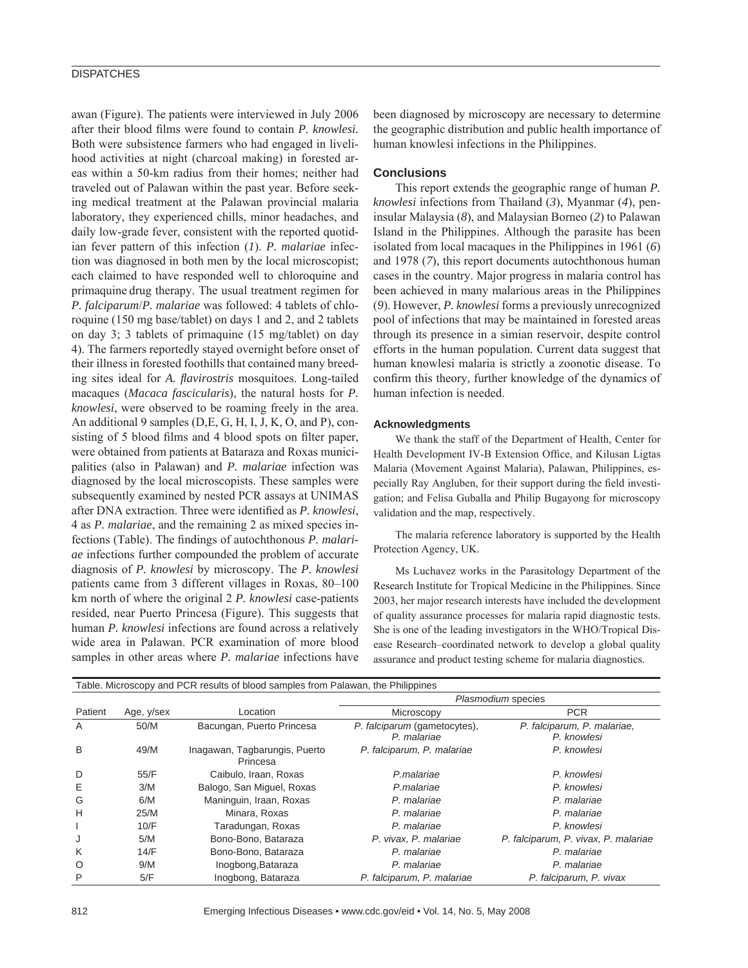## **DISPATCHES**

awan (Figure). The patients were interviewed in July 2006 after their blood films were found to contain *P. knowlesi*. Both were subsistence farmers who had engaged in livelihood activities at night (charcoal making) in forested areas within a 50-km radius from their homes; neither had traveled out of Palawan within the past year. Before seeking medical treatment at the Palawan provincial malaria laboratory, they experienced chills, minor headaches, and daily low-grade fever, consistent with the reported quotidian fever pattern of this infection (*1*). *P. malariae* infection was diagnosed in both men by the local microscopist; each claimed to have responded well to chloroquine and primaquine drug therapy. The usual treatment regimen for *P. falciparum*/*P. malariae* was followed: 4 tablets of chloroquine (150 mg base/tablet) on days 1 and 2, and 2 tablets on day 3; 3 tablets of primaquine (15 mg/tablet) on day 4). The farmers reportedly stayed overnight before onset of their illness in forested foothills that contained many breeding sites ideal for *A. flavirostris* mosquitoes. Long-tailed macaques (*Macaca fascicularis*), the natural hosts for *P. knowlesi*, were observed to be roaming freely in the area. An additional 9 samples (D,E, G, H, I, J, K, O, and P), consisting of 5 blood films and 4 blood spots on filter paper, were obtained from patients at Bataraza and Roxas municipalities (also in Palawan) and *P. malariae* infection was diagnosed by the local microscopists. These samples were subsequently examined by nested PCR assays at UNIMAS after DNA extraction. Three were identified as *P. knowlesi*, 4 as *P. malariae*, and the remaining 2 as mixed species infections (Table). The findings of autochthonous *P. malariae* infections further compounded the problem of accurate diagnosis of *P. knowlesi* by microscopy. The *P. knowlesi* patients came from 3 different villages in Roxas, 80–100 km north of where the original 2 *P. knowlesi* case-patients resided, near Puerto Princesa (Figure). This suggests that human *P. knowlesi* infections are found across a relatively wide area in Palawan. PCR examination of more blood samples in other areas where *P. malariae* infections have been diagnosed by microscopy are necessary to determine the geographic distribution and public health importance of human knowlesi infections in the Philippines.

#### **Conclusions**

This report extends the geographic range of human *P. knowlesi* infections from Thailand (*3*), Myanmar (*4*), peninsular Malaysia (*8*), and Malaysian Borneo (*2*) to Palawan Island in the Philippines. Although the parasite has been isolated from local macaques in the Philippines in 1961 (*6*) and 1978 (*7*), this report documents autochthonous human cases in the country. Major progress in malaria control has been achieved in many malarious areas in the Philippines (*9*). However, *P. knowlesi* forms a previously unrecognized pool of infections that may be maintained in forested areas through its presence in a simian reservoir, despite control efforts in the human population. Current data suggest that human knowlesi malaria is strictly a zoonotic disease. To confirm this theory, further knowledge of the dynamics of human infection is needed.

#### **Acknowledgments**

We thank the staff of the Department of Health, Center for Health Development IV-B Extension Office, and Kilusan Ligtas Malaria (Movement Against Malaria), Palawan, Philippines, especially Ray Angluben, for their support during the field investigation; and Felisa Guballa and Philip Bugayong for microscopy validation and the map, respectively.

The malaria reference laboratory is supported by the Health Protection Agency, UK.

Ms Luchavez works in the Parasitology Department of the Research Institute for Tropical Medicine in the Philippines. Since 2003, her major research interests have included the development of quality assurance processes for malaria rapid diagnostic tests. She is one of the leading investigators in the WHO/Tropical Disease Research–coordinated network to develop a global quality assurance and product testing scheme for malaria diagnostics.

| Table. Microscopy and PCR results of blood samples from Palawan, the Philippines |            |                                           |                                             |                                            |
|----------------------------------------------------------------------------------|------------|-------------------------------------------|---------------------------------------------|--------------------------------------------|
|                                                                                  |            |                                           | Plasmodium species                          |                                            |
| Patient                                                                          | Age, y/sex | Location                                  | Microscopy                                  | <b>PCR</b>                                 |
| A                                                                                | 50/M       | Bacungan, Puerto Princesa                 | P. falciparum (gametocytes),<br>P. malariae | P. falciparum, P. malariae,<br>P. knowlesi |
| B                                                                                | 49/M       | Inagawan, Tagbarungis, Puerto<br>Princesa | P. falciparum, P. malariae                  | P. knowlesi                                |
| D                                                                                | 55/F       | Caibulo, Iraan, Roxas                     | P.malariae                                  | P. knowlesi                                |
| Е                                                                                | 3/M        | Balogo, San Miguel, Roxas                 | P.malariae                                  | P. knowlesi                                |
| G                                                                                | 6/M        | Maninguin, Iraan, Roxas                   | P. malariae                                 | P. malariae                                |
| H                                                                                | 25/M       | Minara, Roxas                             | P. malariae                                 | P. malariae                                |
|                                                                                  | 10/F       | Taradungan, Roxas                         | P. malariae                                 | P. knowlesi                                |
| J                                                                                | 5/M        | Bono-Bono, Bataraza                       | P. vivax, P. malariae                       | P. falciparum, P. vivax, P. malariae       |
| K                                                                                | 14/F       | Bono-Bono, Bataraza                       | P. malariae                                 | P. malariae                                |
| O                                                                                | 9/M        | Inogbong, Bataraza                        | P. malariae                                 | P. malariae                                |
| P                                                                                | 5/F        | Inogbong, Bataraza                        | P. falciparum, P. malariae                  | P. falciparum, P. vivax                    |